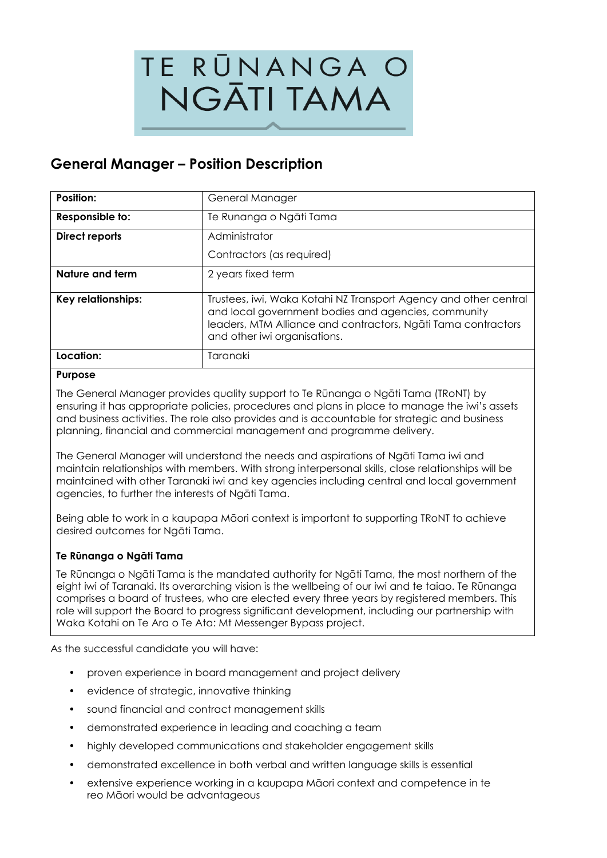

# **General Manager – Position Description**

| Position:             | General Manager                                                                                                                                                                                                          |  |
|-----------------------|--------------------------------------------------------------------------------------------------------------------------------------------------------------------------------------------------------------------------|--|
| Responsible to:       | Te Runanga o Ngāti Tama                                                                                                                                                                                                  |  |
| <b>Direct reports</b> | Administrator                                                                                                                                                                                                            |  |
|                       | Contractors (as required)                                                                                                                                                                                                |  |
| Nature and term       | 2 years fixed term                                                                                                                                                                                                       |  |
| Key relationships:    | Trustees, iwi, Waka Kotahi NZ Transport Agency and other central<br>and local government bodies and agencies, community<br>leaders, MTM Alliance and contractors, Ngāti Tama contractors<br>and other iwi organisations. |  |
| Location:             | Taranaki                                                                                                                                                                                                                 |  |

#### **Purpose**

The General Manager provides quality support to Te Rūnanga o Ngāti Tama (TRoNT) by ensuring it has appropriate policies, procedures and plans in place to manage the iwi's assets and business activities. The role also provides and is accountable for strategic and business planning, financial and commercial management and programme delivery.

The General Manager will understand the needs and aspirations of Ngāti Tama iwi and maintain relationships with members. With strong interpersonal skills, close relationships will be maintained with other Taranaki iwi and key agencies including central and local government agencies, to further the interests of Ngāti Tama.

Being able to work in a kaupapa Māori context is important to supporting TRoNT to achieve desired outcomes for Ngāti Tama.

#### **Te Rūnanga o Ngāti Tama**

Te Rūnanga o Ngāti Tama is the mandated authority for Ngāti Tama, the most northern of the eight iwi of Taranaki. Its overarching vision is the wellbeing of our iwi and te taiao. Te Rūnanga comprises a board of trustees, who are elected every three years by registered members. This role will support the Board to progress significant development, including our partnership with Waka Kotahi on Te Ara o Te Ata: Mt Messenger Bypass project.

As the successful candidate you will have:

- proven experience in board management and project delivery
- evidence of strategic, innovative thinking
- sound financial and contract management skills
- demonstrated experience in leading and coaching a team
- highly developed communications and stakeholder engagement skills
- demonstrated excellence in both verbal and written language skills is essential
- extensive experience working in a kaupapa Māori context and competence in te reo Māori would be advantageous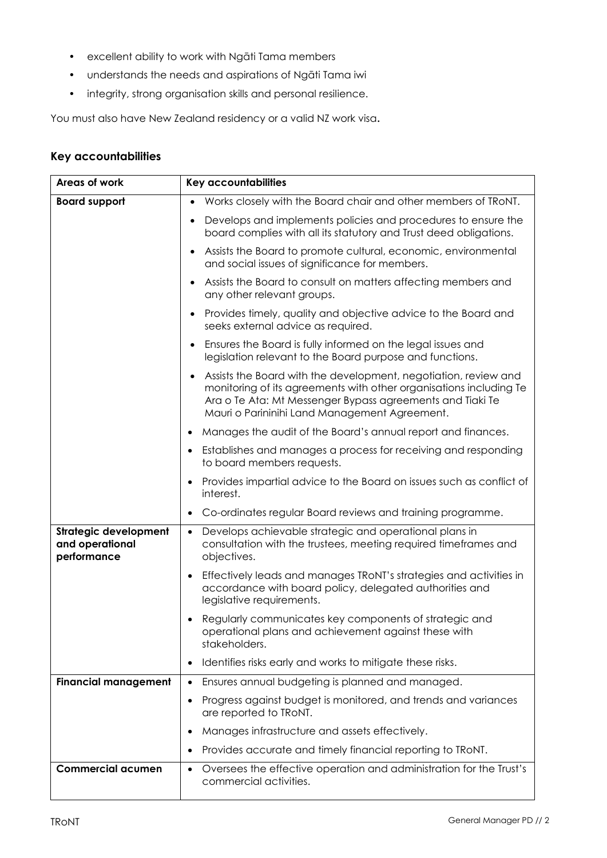- excellent ability to work with Ngāti Tama members
- understands the needs and aspirations of Ngāti Tama iwi
- integrity, strong organisation skills and personal resilience.

You must also have New Zealand residency or a valid NZ work visa**.**

### **Key accountabilities**

| Areas of work                                                  | Key accountabilities                                                                                                                                                                                                                                             |  |  |
|----------------------------------------------------------------|------------------------------------------------------------------------------------------------------------------------------------------------------------------------------------------------------------------------------------------------------------------|--|--|
| <b>Board support</b>                                           | Works closely with the Board chair and other members of TRONT.                                                                                                                                                                                                   |  |  |
|                                                                | Develops and implements policies and procedures to ensure the<br>$\bullet$<br>board complies with all its statutory and Trust deed obligations.                                                                                                                  |  |  |
|                                                                | Assists the Board to promote cultural, economic, environmental<br>$\bullet$<br>and social issues of significance for members.                                                                                                                                    |  |  |
|                                                                | Assists the Board to consult on matters affecting members and<br>any other relevant groups.                                                                                                                                                                      |  |  |
|                                                                | Provides timely, quality and objective advice to the Board and<br>$\bullet$<br>seeks external advice as required.                                                                                                                                                |  |  |
|                                                                | Ensures the Board is fully informed on the legal issues and<br>$\bullet$<br>legislation relevant to the Board purpose and functions.                                                                                                                             |  |  |
|                                                                | Assists the Board with the development, negotiation, review and<br>$\bullet$<br>monitoring of its agreements with other organisations including Te<br>Ara o Te Ata: Mt Messenger Bypass agreements and Tiaki Te<br>Mauri o Parininihi Land Management Agreement. |  |  |
|                                                                | Manages the audit of the Board's annual report and finances.<br>$\bullet$                                                                                                                                                                                        |  |  |
|                                                                | Establishes and manages a process for receiving and responding<br>$\bullet$<br>to board members requests.                                                                                                                                                        |  |  |
|                                                                | Provides impartial advice to the Board on issues such as conflict of<br>$\bullet$<br>interest.                                                                                                                                                                   |  |  |
|                                                                | Co-ordinates regular Board reviews and training programme.<br>$\bullet$                                                                                                                                                                                          |  |  |
| <b>Strategic development</b><br>and operational<br>performance | Develops achievable strategic and operational plans in<br>$\bullet$<br>consultation with the trustees, meeting required timeframes and<br>objectives.                                                                                                            |  |  |
|                                                                | Effectively leads and manages TRoNT's strategies and activities in<br>$\bullet$<br>accordance with board policy, delegated authorities and<br>legislative requirements.                                                                                          |  |  |
|                                                                | Regularly communicates key components of strategic and<br>operational plans and achievement against these with<br>stakeholders.                                                                                                                                  |  |  |
|                                                                | Identifies risks early and works to mitigate these risks.<br>$\bullet$                                                                                                                                                                                           |  |  |
| <b>Financial management</b>                                    | Ensures annual budgeting is planned and managed.<br>$\bullet$                                                                                                                                                                                                    |  |  |
|                                                                | Progress against budget is monitored, and trends and variances<br>$\bullet$<br>are reported to TRoNT.                                                                                                                                                            |  |  |
|                                                                | Manages infrastructure and assets effectively.<br>٠                                                                                                                                                                                                              |  |  |
|                                                                | Provides accurate and timely financial reporting to TRoNT.<br>$\bullet$                                                                                                                                                                                          |  |  |
| <b>Commercial acumen</b>                                       | Oversees the effective operation and administration for the Trust's<br>$\bullet$<br>commercial activities.                                                                                                                                                       |  |  |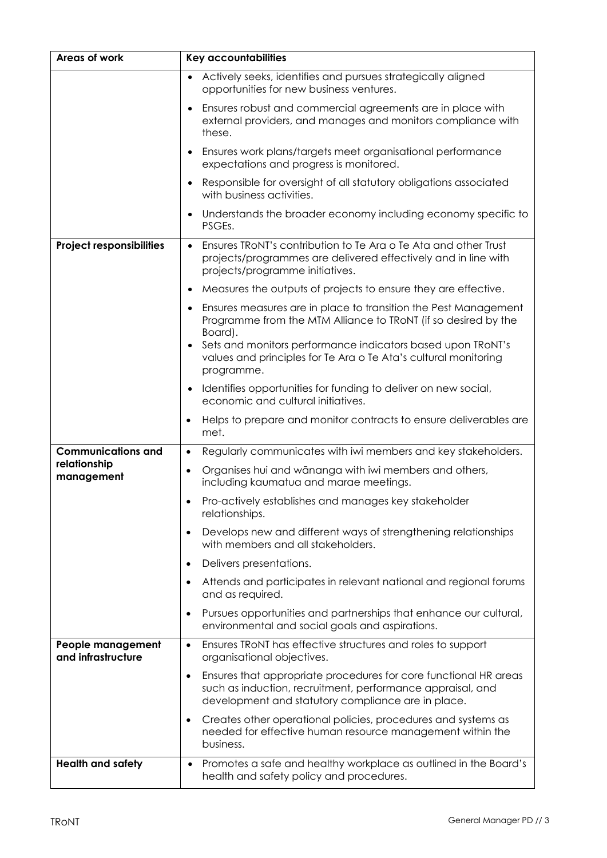| Areas of work                           | Key accountabilities                                                                                                                                                                      |  |  |
|-----------------------------------------|-------------------------------------------------------------------------------------------------------------------------------------------------------------------------------------------|--|--|
|                                         | Actively seeks, identifies and pursues strategically aligned<br>$\bullet$<br>opportunities for new business ventures.                                                                     |  |  |
|                                         | Ensures robust and commercial agreements are in place with<br>$\bullet$<br>external providers, and manages and monitors compliance with<br>these.                                         |  |  |
|                                         | Ensures work plans/targets meet organisational performance<br>$\bullet$<br>expectations and progress is monitored.                                                                        |  |  |
|                                         | Responsible for oversight of all statutory obligations associated<br>$\bullet$<br>with business activities.                                                                               |  |  |
|                                         | Understands the broader economy including economy specific to<br>$\bullet$<br>PSGEs.                                                                                                      |  |  |
| <b>Project responsibilities</b>         | Ensures TRONT's contribution to Te Ara o Te Ata and other Trust<br>$\bullet$<br>projects/programmes are delivered effectively and in line with<br>projects/programme initiatives.         |  |  |
|                                         | Measures the outputs of projects to ensure they are effective.<br>$\bullet$                                                                                                               |  |  |
|                                         | Ensures measures are in place to transition the Pest Management<br>$\bullet$<br>Programme from the MTM Alliance to TRoNT (if so desired by the<br>Board).                                 |  |  |
|                                         | Sets and monitors performance indicators based upon TRoNT's<br>$\bullet$<br>values and principles for Te Ara o Te Ata's cultural monitoring<br>programme.                                 |  |  |
|                                         | Identifies opportunities for funding to deliver on new social,<br>$\bullet$<br>economic and cultural initiatives.                                                                         |  |  |
|                                         | Helps to prepare and monitor contracts to ensure deliverables are<br>٠<br>met.                                                                                                            |  |  |
| <b>Communications and</b>               | Regularly communicates with iwi members and key stakeholders.<br>$\bullet$                                                                                                                |  |  |
| relationship<br>management              | Organises hui and wānanga with iwi members and others,<br>$\bullet$<br>including kaumatua and marae meetings.                                                                             |  |  |
|                                         | Pro-actively establishes and manages key stakeholder<br>$\bullet$<br>relationships.                                                                                                       |  |  |
|                                         | Develops new and different ways of strengthening relationships<br>٠<br>with members and all stakeholders.                                                                                 |  |  |
|                                         | Delivers presentations.<br>$\bullet$                                                                                                                                                      |  |  |
|                                         | Attends and participates in relevant national and regional forums<br>$\bullet$<br>and as required.                                                                                        |  |  |
|                                         | Pursues opportunities and partnerships that enhance our cultural,<br>$\bullet$<br>environmental and social goals and aspirations.                                                         |  |  |
| People management<br>and infrastructure | Ensures TRoNT has effective structures and roles to support<br>$\bullet$<br>organisational objectives.                                                                                    |  |  |
|                                         | Ensures that appropriate procedures for core functional HR areas<br>٠<br>such as induction, recruitment, performance appraisal, and<br>development and statutory compliance are in place. |  |  |
|                                         | Creates other operational policies, procedures and systems as<br>٠<br>needed for effective human resource management within the<br>business.                                              |  |  |
| <b>Health and safety</b>                | Promotes a safe and healthy workplace as outlined in the Board's<br>$\bullet$<br>health and safety policy and procedures.                                                                 |  |  |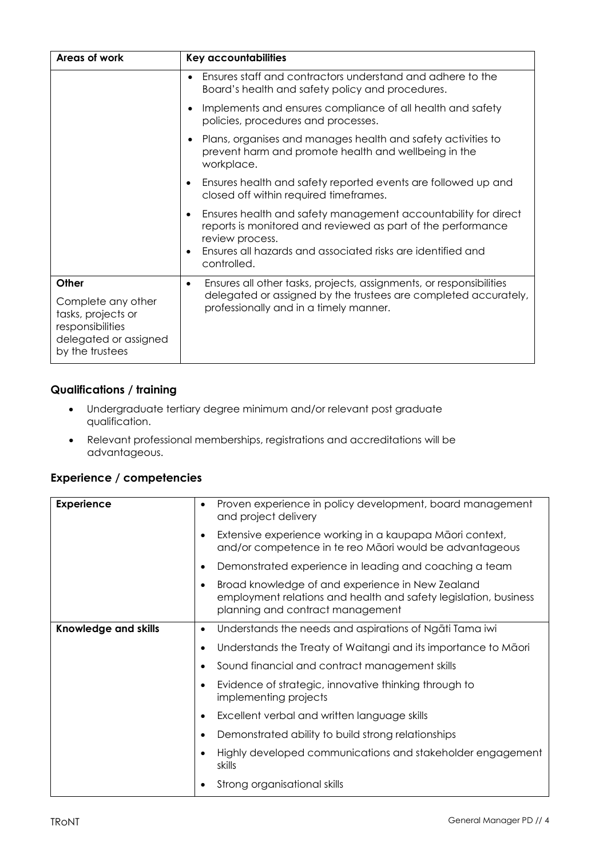| Areas of work                                                                                            | Key accountabilities                                                                                                                              |  |
|----------------------------------------------------------------------------------------------------------|---------------------------------------------------------------------------------------------------------------------------------------------------|--|
|                                                                                                          | Ensures staff and contractors understand and adhere to the<br>Board's health and safety policy and procedures.                                    |  |
|                                                                                                          | Implements and ensures compliance of all health and safety<br>٠<br>policies, procedures and processes.                                            |  |
|                                                                                                          | Plans, organises and manages health and safety activities to<br>prevent harm and promote health and wellbeing in the<br>workplace.                |  |
|                                                                                                          | Ensures health and safety reported events are followed up and<br>closed off within required timeframes.                                           |  |
|                                                                                                          | Ensures health and safety management accountability for direct<br>reports is monitored and reviewed as part of the performance<br>review process. |  |
|                                                                                                          | Ensures all hazards and associated risks are identified and<br>controlled.                                                                        |  |
| Other                                                                                                    | Ensures all other tasks, projects, assignments, or responsibilities                                                                               |  |
| Complete any other<br>tasks, projects or<br>responsibilities<br>delegated or assigned<br>by the trustees | delegated or assigned by the trustees are completed accurately,<br>professionally and in a timely manner.                                         |  |

#### **Qualifications / training**

- Undergraduate tertiary degree minimum and/or relevant post graduate qualification.
- Relevant professional memberships, registrations and accreditations will be advantageous.

## **Experience / competencies**

| <b>Experience</b>           | Proven experience in policy development, board management<br>$\bullet$<br>and project delivery                                                           |
|-----------------------------|----------------------------------------------------------------------------------------------------------------------------------------------------------|
|                             | Extensive experience working in a kaupapa Māori context,<br>and/or competence in te reo Mãori would be advantageous                                      |
|                             | Demonstrated experience in leading and coaching a team                                                                                                   |
|                             | Broad knowledge of and experience in New Zealand<br>employment relations and health and safety legislation, business<br>planning and contract management |
| <b>Knowledge and skills</b> | Understands the needs and aspirations of Ngati Tama iwi<br>$\bullet$                                                                                     |
|                             | Understands the Treaty of Waitangi and its importance to Māori                                                                                           |
|                             | Sound financial and contract management skills                                                                                                           |
|                             | Evidence of strategic, innovative thinking through to<br>implementing projects                                                                           |
|                             | Excellent verbal and written language skills                                                                                                             |
|                             | Demonstrated ability to build strong relationships                                                                                                       |
|                             | Highly developed communications and stakeholder engagement<br>skills                                                                                     |
|                             | Strong organisational skills                                                                                                                             |